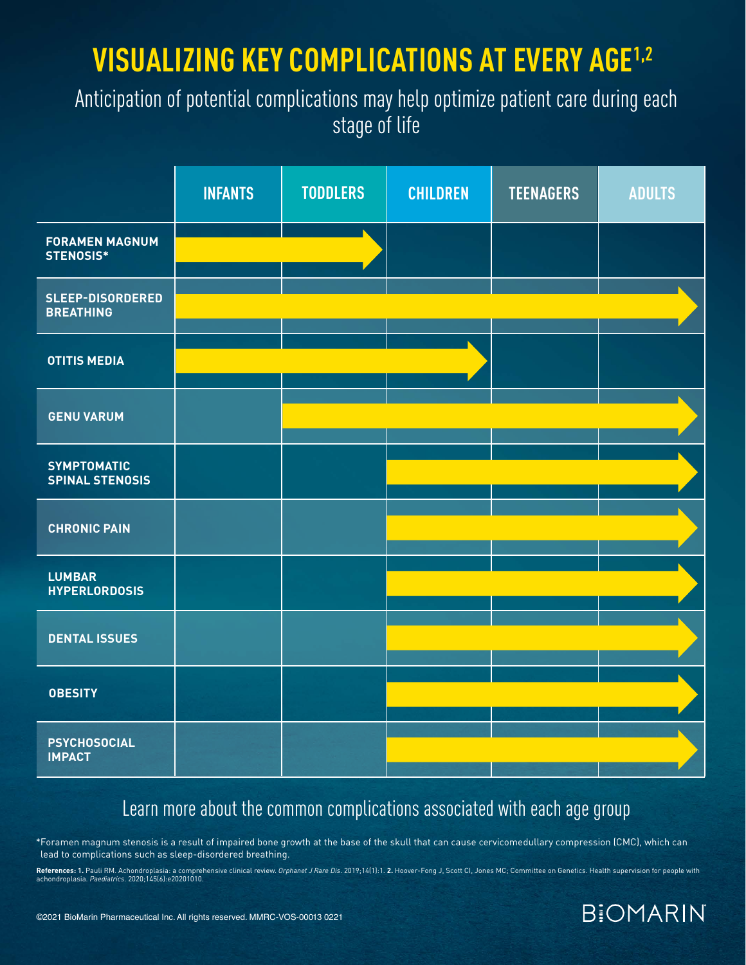# **VISUALIZING KEY COMPLICATIONS AT EVERY AGE1,2**

### Anticipation of potential complications may help optimize patient care during each stage of life

|                                              | <b>INFANTS</b> | <b>TODDLERS</b> | <b>CHILDREN</b> | <b>TEENAGERS</b> | <b>ADULTS</b> |
|----------------------------------------------|----------------|-----------------|-----------------|------------------|---------------|
| <b>FORAMEN MAGNUM</b><br>STENOSIS*           |                |                 |                 |                  |               |
| <b>SLEEP-DISORDERED</b><br><b>BREATHING</b>  |                |                 |                 |                  |               |
| <b>OTITIS MEDIA</b>                          |                |                 |                 |                  |               |
| <b>GENU VARUM</b>                            |                |                 |                 |                  |               |
| <b>SYMPTOMATIC</b><br><b>SPINAL STENOSIS</b> |                |                 |                 |                  |               |
| <b>CHRONIC PAIN</b>                          |                |                 |                 |                  |               |
| <b>LUMBAR</b><br><b>HYPERLORDOSIS</b>        |                |                 |                 |                  |               |
| <b>DENTAL ISSUES</b>                         |                |                 |                 |                  |               |
| <b>OBESITY</b>                               |                |                 |                 |                  |               |
| <b>PSYCHOSOCIAL</b><br><b>IMPACT</b>         |                |                 |                 |                  |               |

### Learn more about the common complications associated with each age group

\*Foramen magnum stenosis is a result of impaired bone growth at the base of the skull that can cause cervicomedullary compression (CMC), which can lead to complications such as sleep-disordered breathing.

**References: 1.** Pauli RM. Achondroplasia: a comprehensive clinical review. *Orphanet J Rare Dis.* 2019;14(1):1. **2.** Hoover-Fong J, Scott CI, Jones MC; Committee on Genetics. Health supervision for people with<br>achondropla

**BIOMARIN**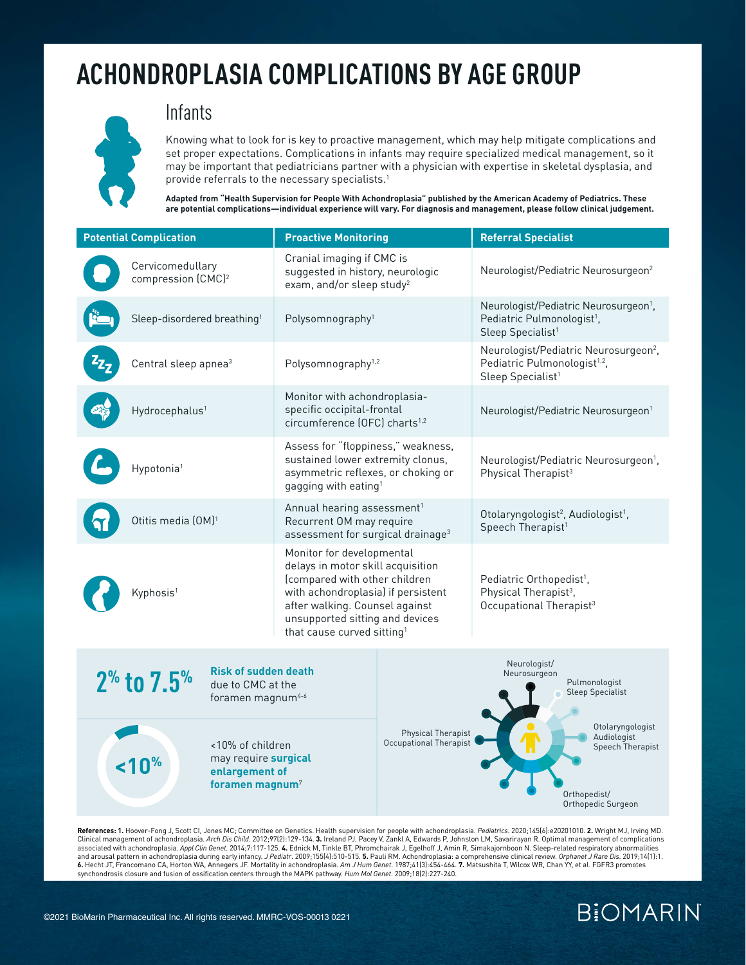

#### Infants

Knowing what to look for is key to proactive management, which may help mitigate complications and set proper expectations. Complications in infants may require specialized medical management, so it may be important that pediatricians partner with a physician with expertise in skeletal dysplasia, and provide referrals to the necessary specialists.<sup>1</sup>

**Adapted from "Health Supervision for People With Achondroplasia" published by the American Academy of Pediatrics. These are potential complications—individual experience will vary. For diagnosis and management, please follow clinical judgement.** 

| <b>Potential Complication</b>                                                                                | <b>Proactive Monitoring</b>                                                                                                                                                                                                                          | <b>Referral Specialist</b>                                                                                                     |
|--------------------------------------------------------------------------------------------------------------|------------------------------------------------------------------------------------------------------------------------------------------------------------------------------------------------------------------------------------------------------|--------------------------------------------------------------------------------------------------------------------------------|
| Cervicomedullary<br>compression (CMC) <sup>2</sup>                                                           | Cranial imaging if CMC is<br>suggested in history, neurologic<br>exam, and/or sleep study <sup>2</sup>                                                                                                                                               | Neurologist/Pediatric Neurosurgeon <sup>2</sup>                                                                                |
| Sleep-disordered breathing <sup>1</sup>                                                                      | Polysomnography <sup>1</sup>                                                                                                                                                                                                                         | Neurologist/Pediatric Neurosurgeon <sup>1</sup> ,<br>Pediatric Pulmonologist <sup>1</sup> ,<br>Sleep Specialist <sup>1</sup>   |
| Central sleep apnea <sup>3</sup>                                                                             | Polysomnography <sup>1,2</sup>                                                                                                                                                                                                                       | Neurologist/Pediatric Neurosurgeon <sup>2</sup> ,<br>Pediatric Pulmonologist <sup>1,2</sup> ,<br>Sleep Specialist <sup>1</sup> |
| Hydrocephalus <sup>1</sup>                                                                                   | Monitor with achondroplasia-<br>specific occipital-frontal<br>circumference (OFC) charts <sup>1,2</sup>                                                                                                                                              | Neurologist/Pediatric Neurosurgeon <sup>1</sup>                                                                                |
| Hypotonia <sup>1</sup>                                                                                       | Assess for "floppiness," weakness,<br>sustained lower extremity clonus,<br>asymmetric reflexes, or choking or<br>gagging with eating <sup>1</sup>                                                                                                    | Neurologist/Pediatric Neurosurgeon <sup>1</sup> ,<br>Physical Therapist <sup>3</sup>                                           |
| Otitis media (OM) <sup>1</sup>                                                                               | Annual hearing assessment <sup>1</sup><br>Recurrent OM may require<br>assessment for surgical drainage <sup>3</sup>                                                                                                                                  | Otolaryngologist <sup>2</sup> , Audiologist <sup>1</sup> ,<br>Speech Therapist <sup>1</sup>                                    |
| Kyphosis <sup>1</sup>                                                                                        | Monitor for developmental<br>delays in motor skill acquisition<br>(compared with other children<br>with achondroplasia) if persistent<br>after walking. Counsel against<br>unsupported sitting and devices<br>that cause curved sitting <sup>1</sup> | Pediatric Orthopedist <sup>1</sup> ,<br>Physical Therapist <sup>3</sup> ,<br>Occupational Therapist <sup>3</sup>               |
| <b>Risk of sudden death</b><br>$2^{\%}$ to $7.5^{\%}$<br>due to CMC at the<br>foramen magnum <sup>4-6</sup>  |                                                                                                                                                                                                                                                      | Neurologist/<br>Neurosurgeon<br>Pulmonologist<br><b>Sleep Specialist</b>                                                       |
| <10% of children<br>may require surgical<br>10 <sup>%</sup><br>enlargement of<br>foramen magnum <sup>7</sup> | Physical Therapist<br>Occupational Therapist                                                                                                                                                                                                         | Otolaryngologist<br>Audiologist<br>Speech Therapist<br>Orthopedist/<br>Orthopedic Surgeon                                      |

**References: 1.** Hoover-Fong J, Scott CI, Jones MC; Committee on Genetics. Health supervision for people with achondroplasia. *Pediatrics*. 2020;145(6):e20201010. **2.** Wright MJ, Irving MD. Clinical management of achondroplasia. *Arch Dis Child*. 2012;97(2):129-134. **3.** Ireland PJ, Pacey V, Zankl A, Edwards P, Johnston LM, Savarirayan R. Optimal management of complications associated with achondroplasia. *Appl Clin Genet.* 2014;7:117-125. 4. Ednick M, Tinkle BT, Phromchairak J, Egelhoff J, Amin R, Simakajornboon N. Sleep-related respiratory abnormalities<br>and arousal pattern in achondroplasia **6.** Hecht JT, Francomano CA, Horton WA, Annegers JF. Mortality in achondroplasia. *Am J Hum Genet*. 1987;41(3):454-464. **7.** Matsushita T, Wilcox WR, Chan YY, et al. FGFR3 promotes synchondrosis closure and fusion of ossification centers through the MAPK pathway. *Hum Mol Genet*. 2009;18(2):227-240.

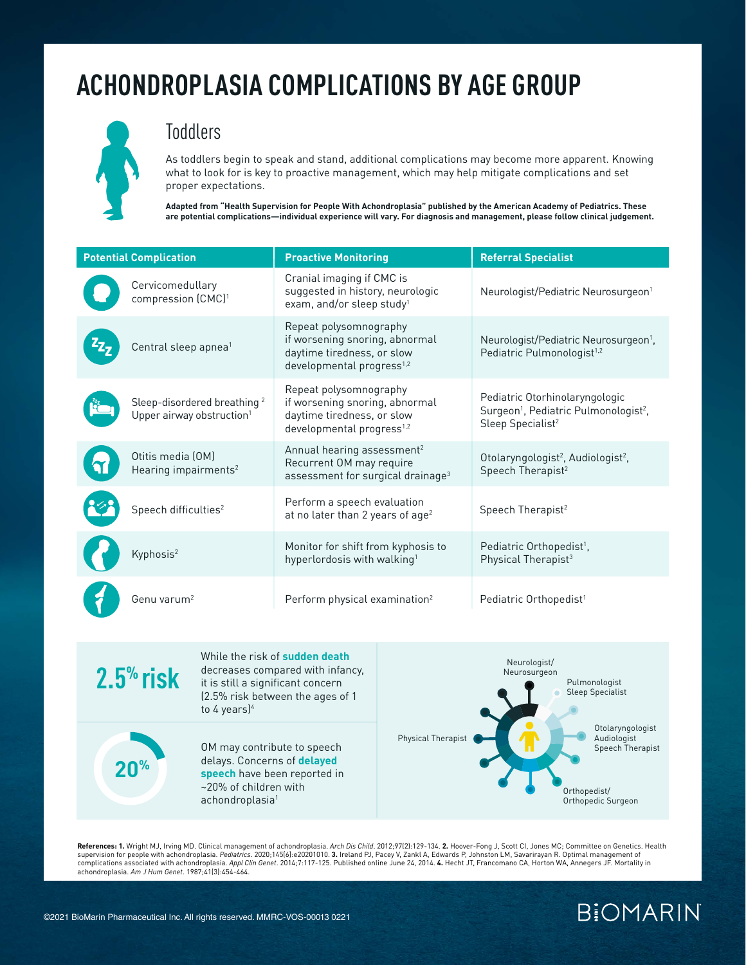

#### **Toddlers**

As toddlers begin to speak and stand, additional complications may become more apparent. Knowing what to look for is key to proactive management, which may help mitigate complications and set proper expectations.

**Adapted from "Health Supervision for People With Achondroplasia" published by the American Academy of Pediatrics. These are potential complications—individual experience will vary. For diagnosis and management, please follow clinical judgement.** 

| <b>Potential Complication</b> |                                                                                  | <b>Proactive Monitoring</b>                                                                                                     | <b>Referral Specialist</b>                                                                                                       |  |
|-------------------------------|----------------------------------------------------------------------------------|---------------------------------------------------------------------------------------------------------------------------------|----------------------------------------------------------------------------------------------------------------------------------|--|
|                               | Cervicomedullary<br>compression (CMC) <sup>1</sup>                               | Cranial imaging if CMC is<br>suggested in history, neurologic<br>exam, and/or sleep study <sup>1</sup>                          | Neurologist/Pediatric Neurosurgeon <sup>1</sup>                                                                                  |  |
|                               | Central sleep apnea <sup>1</sup>                                                 | Repeat polysomnography<br>if worsening snoring, abnormal<br>daytime tiredness, or slow<br>developmental progress <sup>1,2</sup> | Neurologist/Pediatric Neurosurgeon <sup>1</sup> ,<br>Pediatric Pulmonologist <sup>1,2</sup>                                      |  |
|                               | Sleep-disordered breathing <sup>2</sup><br>Upper airway obstruction <sup>1</sup> | Repeat polysomnography<br>if worsening snoring, abnormal<br>daytime tiredness, or slow<br>developmental progress <sup>1,2</sup> | Pediatric Otorhinolaryngologic<br>Surgeon <sup>1</sup> , Pediatric Pulmonologist <sup>2</sup> ,<br>Sleep Specialist <sup>2</sup> |  |
|                               | Otitis media (OM)<br>Hearing impairments <sup>2</sup>                            | Annual hearing assessment <sup>2</sup><br>Recurrent OM may require<br>assessment for surgical drainage <sup>3</sup>             | Otolaryngologist <sup>2</sup> , Audiologist <sup>2</sup> ,<br>Speech Therapist <sup>2</sup>                                      |  |
|                               | Speech difficulties <sup>2</sup>                                                 | Perform a speech evaluation<br>at no later than 2 years of age <sup>2</sup>                                                     | Speech Therapist <sup>2</sup>                                                                                                    |  |
|                               | Kyphosis <sup>2</sup>                                                            | Monitor for shift from kyphosis to<br>hyperlordosis with walking <sup>1</sup>                                                   | Pediatric Orthopedist <sup>1</sup> ,<br>Physical Therapist <sup>3</sup>                                                          |  |
|                               | Genu varum <sup>2</sup>                                                          | Perform physical examination <sup>2</sup>                                                                                       | Pediatric Orthopedist <sup>1</sup>                                                                                               |  |



**References: 1.** Wright MJ, Irving MD. Clinical management of achondroplasia. *Arch Dis Child*. 2012;97(2):129-134. **2.** Hoover-Fong J, Scott CI, Jones MC; Committee on Genetics. Health supervision for people with achondroplasia. *Pediatrics.* 2020;145(6):e20201010. **3.** Ireland PJ, Pacey V, Zankl A, Edwards P, Johnston LM, Savarirayan R. Optimal management of<br>complications associated with achondroplasia. achondroplasia. *Am J Hum Genet*. 1987;41(3):454-464.

### **BIOMARIN**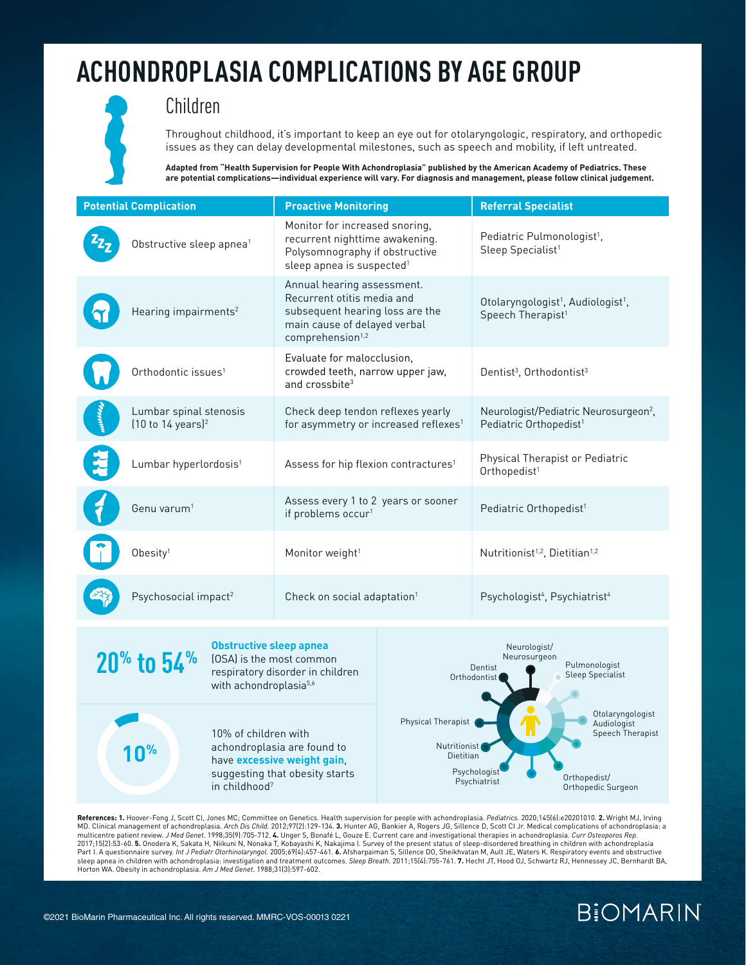#### Children

Throughout childhood, it's important to keep an eye out for otolaryngologic, respiratory, and orthopedic issues as they can delay developmental milestones, such as speech and mobility, if left untreated.

**Adapted from "Health Supervision for People With Achondroplasia" published by the American Academy of Pediatrics. These are potential complications—individual experience will vary. For diagnosis and management, please follow clinical judgement.** 

| <b>Potential Complication</b>                                                                                                                                  |                                      | <b>Proactive Monitoring</b>                                                                  |                                                                                                                                                                                                                                             | <b>Referral Specialist</b>                                  |                                                                                             |  |
|----------------------------------------------------------------------------------------------------------------------------------------------------------------|--------------------------------------|----------------------------------------------------------------------------------------------|---------------------------------------------------------------------------------------------------------------------------------------------------------------------------------------------------------------------------------------------|-------------------------------------------------------------|---------------------------------------------------------------------------------------------|--|
|                                                                                                                                                                | Obstructive sleep apnea <sup>1</sup> |                                                                                              | Monitor for increased snoring,<br>recurrent nighttime awakening.<br>Polysomnography if obstructive<br>sleep apnea is suspected <sup>1</sup>                                                                                                 |                                                             | Pediatric Pulmonologist <sup>1</sup> ,<br>Sleep Specialist <sup>1</sup>                     |  |
|                                                                                                                                                                | Hearing impairments <sup>2</sup>     |                                                                                              | Annual hearing assessment.<br>Recurrent otitis media and<br>subsequent hearing loss are the<br>main cause of delayed verbal<br>comprehension <sup>1,2</sup>                                                                                 |                                                             | Otolaryngologist <sup>1</sup> , Audiologist <sup>1</sup> ,<br>Speech Therapist <sup>1</sup> |  |
|                                                                                                                                                                | Orthodontic issues <sup>1</sup>      |                                                                                              | Evaluate for malocclusion.<br>crowded teeth, narrow upper jaw,<br>and crossbite <sup>3</sup>                                                                                                                                                |                                                             | Dentist <sup>3</sup> , Orthodontist <sup>3</sup>                                            |  |
| Lumbar spinal stenosis<br>(10 to 14 years) <sup>2</sup>                                                                                                        |                                      | Check deep tendon reflexes yearly<br>for asymmetry or increased reflexes <sup>1</sup>        |                                                                                                                                                                                                                                             | Pediatric Orthopedist <sup>1</sup>                          | Neurologist/Pediatric Neurosurgeon <sup>2</sup> ,                                           |  |
| Lumbar hyperlordosis <sup>1</sup>                                                                                                                              |                                      | Assess for hip flexion contractures <sup>1</sup>                                             |                                                                                                                                                                                                                                             | Physical Therapist or Pediatric<br>Orthopedist <sup>1</sup> |                                                                                             |  |
|                                                                                                                                                                | Genu varum <sup>1</sup>              |                                                                                              | Assess every 1 to 2 years or sooner<br>if problems occur <sup>1</sup>                                                                                                                                                                       |                                                             | Pediatric Orthopedist <sup>1</sup>                                                          |  |
|                                                                                                                                                                | Obesity <sup>1</sup>                 |                                                                                              | Monitor weight <sup>1</sup>                                                                                                                                                                                                                 |                                                             | Nutritionist <sup>1,2</sup> , Dietitian <sup>1,2</sup>                                      |  |
| Psychosocial impact <sup>2</sup>                                                                                                                               |                                      | Check on social adaptation <sup>1</sup>                                                      |                                                                                                                                                                                                                                             | Psychologist <sup>4</sup> , Psychiatrist <sup>4</sup>       |                                                                                             |  |
| <b>Obstructive sleep apnea</b><br>20 <sup>%</sup> to 54 <sup>%</sup><br>(OSA) is the most common<br>respiratory disorder in children<br>with achondroplasia5,6 |                                      |                                                                                              | Neurologist/<br>Neurosurgeon<br>Pulmonologist<br>Dentist<br><b>Sleep Specialist</b><br>Orthodontist<br>Physical Therapist<br>Audiologist<br>Nutritionist<br>Dietitian<br>Psychologist<br>Orthopedist/<br>Psychiatrist<br>Orthopedic Surgeon |                                                             |                                                                                             |  |
| 10% of children with<br>0 <sup>%</sup><br>in childhood <sup>7</sup>                                                                                            |                                      | achondroplasia are found to<br>have excessive weight gain,<br>suggesting that obesity starts |                                                                                                                                                                                                                                             |                                                             | Otolaryngologist<br>Speech Therapist                                                        |  |

**References: 1.** Hoover-Fong J, Scott CI, Jones MC; Committee on Genetics. Health supervision for people with achondroplasia. *Pediatrics.* 2020;145(6):e20201010. **2.** Wright MJ, Irving<br>MD. Clinical management of achondrop multicentre patient review. *J Med Genet*. 1998;35(9):705-712. 4. Unger S, Bonafé L, Gouze E. Current care and investigational therapies in achondroplasia. *Curr Osteoporos Rep.*<br>2017;15(2):53-60. 5. Onodera K, Sakata H, N sleep apnea in children with achondroplasia: investigation and treatment outcomes. *Sleep Breath.* 2011;15(4):755-761. **7.** Hecht JT, Hood OJ, Schwartz RJ, Hennessey JC, Bernhardt BA,<br>Horton WA. Obesity in achondroplasia.

### **BiOMARIN**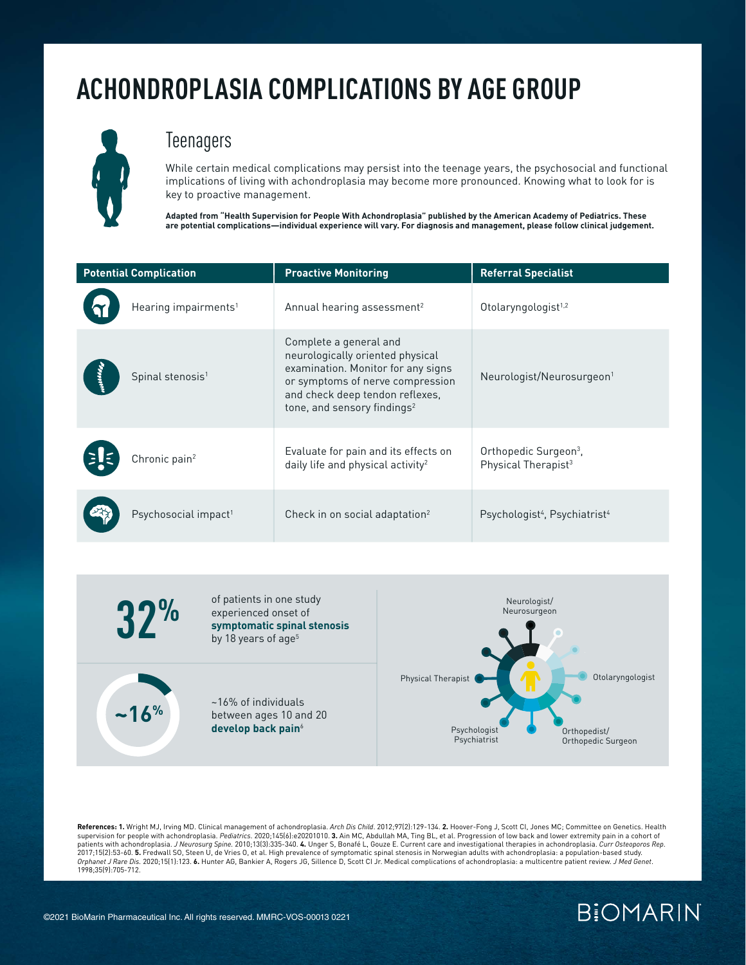

#### **Teenagers**

While certain medical complications may persist into the teenage years, the psychosocial and functional implications of living with achondroplasia may become more pronounced. Knowing what to look for is key to proactive management.

**Adapted from "Health Supervision for People With Achondroplasia" published by the American Academy of Pediatrics. These are potential complications—individual experience will vary. For diagnosis and management, please follow clinical judgement.** 

| <b>Potential Complication</b> |                                  | <b>Proactive Monitoring</b>                                                                                                                                                                                        | <b>Referral Specialist</b>                                           |
|-------------------------------|----------------------------------|--------------------------------------------------------------------------------------------------------------------------------------------------------------------------------------------------------------------|----------------------------------------------------------------------|
|                               | Hearing impairments <sup>1</sup> | Annual hearing assessment <sup>2</sup>                                                                                                                                                                             | Otolaryngologist <sup>1,2</sup>                                      |
|                               | Spinal stenosis <sup>1</sup>     | Complete a general and<br>neurologically oriented physical<br>examination. Monitor for any signs<br>or symptoms of nerve compression<br>and check deep tendon reflexes,<br>tone, and sensory findings <sup>2</sup> | Neurologist/Neurosurgeon <sup>1</sup>                                |
|                               | Chronic pain <sup>2</sup>        | Evaluate for pain and its effects on<br>daily life and physical activity <sup>2</sup>                                                                                                                              | Orthopedic Surgeon <sup>3</sup> .<br>Physical Therapist <sup>3</sup> |
|                               | Psychosocial impact <sup>1</sup> | Check in on social adaptation <sup>2</sup>                                                                                                                                                                         | Psychologist <sup>4</sup> , Psychiatrist <sup>4</sup>                |



**References: 1.** Wright MJ, Irving MD. Clinical management of achondroplasia. *Arch Dis Child*. 2012;97(2):129-134. **2.** Hoover-Fong J, Scott CI, Jones MC; Committee on Genetics. Health supervision for people with achondroplasia. *Pediatrics*. 2020;145(6):e20201010. **3.** Ain MC, Abdullah MA, Ting BL, et al. Progression of low back and lower extremity pain in a cohort of patients with achondroplasia. *J Neurosurg Spine.* 2010;13(3):335-340. **4.** Unger S, Bonafé L, Gouze E. Current care and investigational therapies in achondroplasia. *Curr Osteoporos Rep.*<br>2017;15(2):53-60. **5.** Fredwall S *Orphanet J Rare Dis.* 2020;15(1):123. **6.** Hunter AG, Bankier A, Rogers JG, Sillence D, Scott CI Jr. Medical complications of achondroplasia: a multicentre patient review. *J Med Genet*. 1998;35(9):705-712.

### **BIOMARIN**